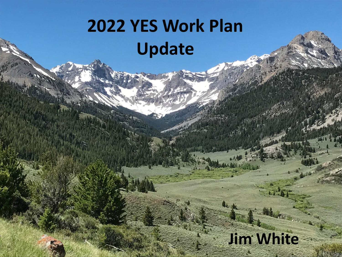# **2022 YES Work Plan Update**

### **Jim White**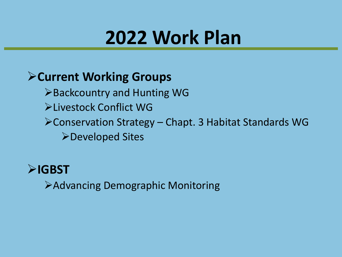## **2022 Work Plan**

### ➢**Current Working Groups**

- ➢Backcountry and Hunting WG
- ➢Livestock Conflict WG
- ➢Conservation Strategy Chapt. 3 Habitat Standards WG
	- ➢Developed Sites



➢Advancing Demographic Monitoring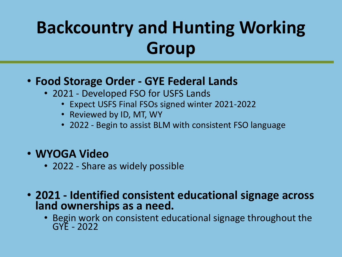### **Backcountry and Hunting Working Group**

#### • **Food Storage Order - GYE Federal Lands**

- 2021 Developed FSO for USFS Lands
	- Expect USFS Final FSOs signed winter 2021-2022
	- Reviewed by ID, MT, WY
	- 2022 Begin to assist BLM with consistent FSO language

#### • **WYOGA Video**

- 2022 Share as widely possible
- **2021 - Identified consistent educational signage across land ownerships as a need.**
	- Begin work on consistent educational signage throughout the GYE - 2022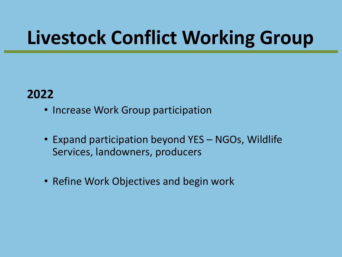# **Livestock Conflict Working Group**

### **2022**

- Increase Work Group participation
- Expand participation beyond YES NGOs, Wildlife Services, landowners, producers
- Refine Work Objectives and begin work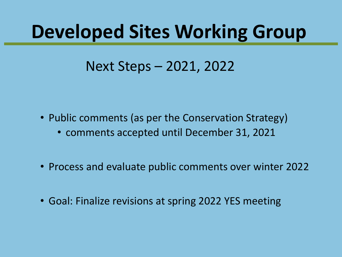### **Developed Sites Working Group**

### Next Steps – 2021, 2022

- Public comments (as per the Conservation Strategy)
	- comments accepted until December 31, 2021
- Process and evaluate public comments over winter 2022
- Goal: Finalize revisions at spring 2022 YES meeting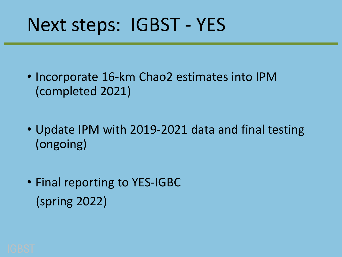## Next steps: IGBST - YES

- Incorporate 16-km Chao2 estimates into IPM (completed 2021)
- Update IPM with 2019-2021 data and final testing (ongoing)
- Final reporting to YES-IGBC (spring 2022)